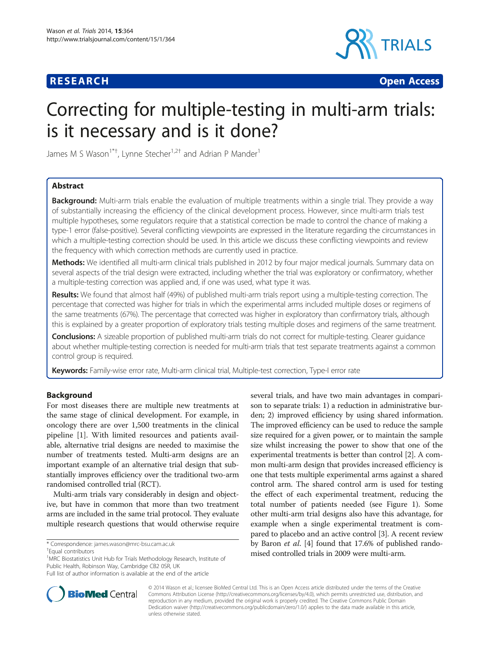

**RESEARCH CHEAR CHEAR CHEAR CHEAR CHEAR CHEAR CHEAR CHEAR CHEAR CHEAR CHEAR CHEAR CHEAR CHEAR CHEAR CHEAR CHEAR** 

# Correcting for multiple-testing in multi-arm trials: is it necessary and is it done?

James M S Wason<sup>1\*†</sup>, Lynne Stecher<sup>1,2†</sup> and Adrian P Mander<sup>1</sup>

# Abstract

Background: Multi-arm trials enable the evaluation of multiple treatments within a single trial. They provide a way of substantially increasing the efficiency of the clinical development process. However, since multi-arm trials test multiple hypotheses, some regulators require that a statistical correction be made to control the chance of making a type-1 error (false-positive). Several conflicting viewpoints are expressed in the literature regarding the circumstances in which a multiple-testing correction should be used. In this article we discuss these conflicting viewpoints and review the frequency with which correction methods are currently used in practice.

Methods: We identified all multi-arm clinical trials published in 2012 by four major medical journals. Summary data on several aspects of the trial design were extracted, including whether the trial was exploratory or confirmatory, whether a multiple-testing correction was applied and, if one was used, what type it was.

Results: We found that almost half (49%) of published multi-arm trials report using a multiple-testing correction. The percentage that corrected was higher for trials in which the experimental arms included multiple doses or regimens of the same treatments (67%). The percentage that corrected was higher in exploratory than confirmatory trials, although this is explained by a greater proportion of exploratory trials testing multiple doses and regimens of the same treatment.

Conclusions: A sizeable proportion of published multi-arm trials do not correct for multiple-testing. Clearer guidance about whether multiple-testing correction is needed for multi-arm trials that test separate treatments against a common control group is required.

Keywords: Family-wise error rate, Multi-arm clinical trial, Multiple-test correction, Type-I error rate

# Background

For most diseases there are multiple new treatments at the same stage of clinical development. For example, in oncology there are over 1,500 treatments in the clinical pipeline [[1](#page-5-0)]. With limited resources and patients available, alternative trial designs are needed to maximise the number of treatments tested. Multi-arm designs are an important example of an alternative trial design that substantially improves efficiency over the traditional two-arm randomised controlled trial (RCT).

Multi-arm trials vary considerably in design and objective, but have in common that more than two treatment arms are included in the same trial protocol. They evaluate multiple research questions that would otherwise require

<sup>1</sup>MRC Biostatistics Unit Hub for Trials Methodology Research, Institute of Public Health, Robinson Way, Cambridge CB2 0SR, UK

several trials, and have two main advantages in comparison to separate trials: 1) a reduction in administrative burden; 2) improved efficiency by using shared information. The improved efficiency can be used to reduce the sample size required for a given power, or to maintain the sample size whilst increasing the power to show that one of the experimental treatments is better than control [\[2](#page-5-0)]. A common multi-arm design that provides increased efficiency is one that tests multiple experimental arms against a shared control arm. The shared control arm is used for testing the effect of each experimental treatment, reducing the total number of patients needed (see Figure [1\)](#page-1-0). Some other multi-arm trial designs also have this advantage, for example when a single experimental treatment is compared to placebo and an active control [\[3\]](#page-5-0). A recent review by Baron et al. [\[4\]](#page-5-0) found that 17.6% of published randomised controlled trials in 2009 were multi-arm.



© 2014 Wason et al.; licensee BioMed Central Ltd. This is an Open Access article distributed under the terms of the Creative Commons Attribution License [\(http://creativecommons.org/licenses/by/4.0\)](http://creativecommons.org/licenses/by/4.0), which permits unrestricted use, distribution, and reproduction in any medium, provided the original work is properly credited. The Creative Commons Public Domain Dedication waiver [\(http://creativecommons.org/publicdomain/zero/1.0/](http://creativecommons.org/publicdomain/zero/1.0/)) applies to the data made available in this article, unless otherwise stated.

<sup>\*</sup> Correspondence: [james.wason@mrc-bsu.cam.ac.uk](mailto:james.wason@mrc-bsu.cam.ac.uk) †

Equal contributors

Full list of author information is available at the end of the article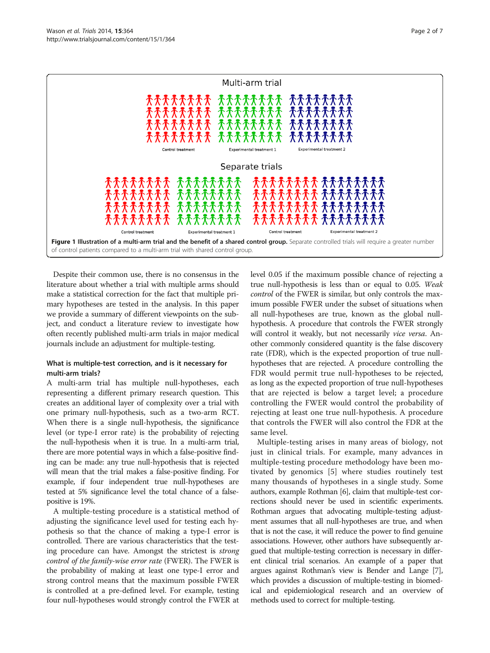<span id="page-1-0"></span>

Despite their common use, there is no consensus in the literature about whether a trial with multiple arms should make a statistical correction for the fact that multiple primary hypotheses are tested in the analysis. In this paper we provide a summary of different viewpoints on the subject, and conduct a literature review to investigate how often recently published multi-arm trials in major medical journals include an adjustment for multiple-testing.

# What is multiple-test correction, and is it necessary for multi-arm trials?

A multi-arm trial has multiple null-hypotheses, each representing a different primary research question. This creates an additional layer of complexity over a trial with one primary null-hypothesis, such as a two-arm RCT. When there is a single null-hypothesis, the significance level (or type-I error rate) is the probability of rejecting the null-hypothesis when it is true. In a multi-arm trial, there are more potential ways in which a false-positive finding can be made: any true null-hypothesis that is rejected will mean that the trial makes a false-positive finding. For example, if four independent true null-hypotheses are tested at 5% significance level the total chance of a falsepositive is 19%.

A multiple-testing procedure is a statistical method of adjusting the significance level used for testing each hypothesis so that the chance of making a type-I error is controlled. There are various characteristics that the testing procedure can have. Amongst the strictest is strong control of the family-wise error rate (FWER). The FWER is the probability of making at least one type-I error and strong control means that the maximum possible FWER is controlled at a pre-defined level. For example, testing four null-hypotheses would strongly control the FWER at

level 0.05 if the maximum possible chance of rejecting a true null-hypothesis is less than or equal to 0.05. Weak control of the FWER is similar, but only controls the maximum possible FWER under the subset of situations when all null-hypotheses are true, known as the global nullhypothesis. A procedure that controls the FWER strongly will control it weakly, but not necessarily vice versa. Another commonly considered quantity is the false discovery rate (FDR), which is the expected proportion of true nullhypotheses that are rejected. A procedure controlling the FDR would permit true null-hypotheses to be rejected, as long as the expected proportion of true null-hypotheses that are rejected is below a target level; a procedure controlling the FWER would control the probability of rejecting at least one true null-hypothesis. A procedure that controls the FWER will also control the FDR at the same level.

Multiple-testing arises in many areas of biology, not just in clinical trials. For example, many advances in multiple-testing procedure methodology have been motivated by genomics [[5\]](#page-5-0) where studies routinely test many thousands of hypotheses in a single study. Some authors, example Rothman [\[6\]](#page-6-0), claim that multiple-test corrections should never be used in scientific experiments. Rothman argues that advocating multiple-testing adjustment assumes that all null-hypotheses are true, and when that is not the case, it will reduce the power to find genuine associations. However, other authors have subsequently argued that multiple-testing correction is necessary in different clinical trial scenarios. An example of a paper that argues against Rothman's view is Bender and Lange [[7](#page-6-0)], which provides a discussion of multiple-testing in biomedical and epidemiological research and an overview of methods used to correct for multiple-testing.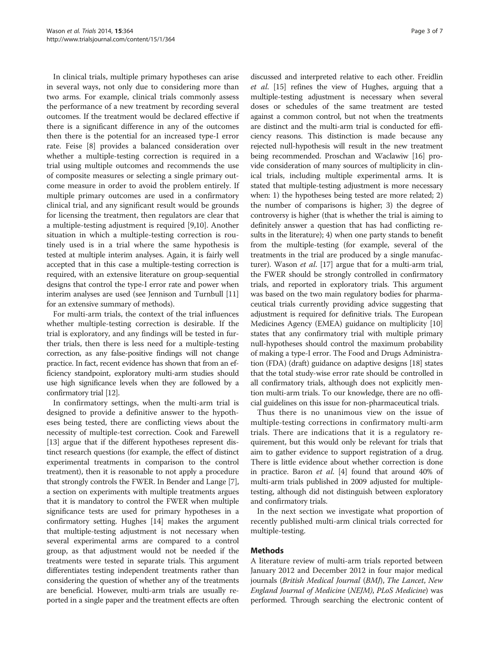In clinical trials, multiple primary hypotheses can arise in several ways, not only due to considering more than two arms. For example, clinical trials commonly assess the performance of a new treatment by recording several outcomes. If the treatment would be declared effective if there is a significant difference in any of the outcomes then there is the potential for an increased type-I error rate. Feise [\[8](#page-6-0)] provides a balanced consideration over whether a multiple-testing correction is required in a trial using multiple outcomes and recommends the use of composite measures or selecting a single primary outcome measure in order to avoid the problem entirely. If multiple primary outcomes are used in a confirmatory clinical trial, and any significant result would be grounds for licensing the treatment, then regulators are clear that a multiple-testing adjustment is required [\[9,10](#page-6-0)]. Another situation in which a multiple-testing correction is routinely used is in a trial where the same hypothesis is tested at multiple interim analyses. Again, it is fairly well accepted that in this case a multiple-testing correction is required, with an extensive literature on group-sequential designs that control the type-I error rate and power when interim analyses are used (see Jennison and Turnbull [[11](#page-6-0)] for an extensive summary of methods).

For multi-arm trials, the context of the trial influences whether multiple-testing correction is desirable. If the trial is exploratory, and any findings will be tested in further trials, then there is less need for a multiple-testing correction, as any false-positive findings will not change practice. In fact, recent evidence has shown that from an efficiency standpoint, exploratory multi-arm studies should use high significance levels when they are followed by a confirmatory trial [\[12](#page-6-0)].

In confirmatory settings, when the multi-arm trial is designed to provide a definitive answer to the hypotheses being tested, there are conflicting views about the necessity of multiple-test correction. Cook and Farewell [[13](#page-6-0)] argue that if the different hypotheses represent distinct research questions (for example, the effect of distinct experimental treatments in comparison to the control treatment), then it is reasonable to not apply a procedure that strongly controls the FWER. In Bender and Lange [[7](#page-6-0)], a section on experiments with multiple treatments argues that it is mandatory to control the FWER when multiple significance tests are used for primary hypotheses in a confirmatory setting. Hughes [\[14\]](#page-6-0) makes the argument that multiple-testing adjustment is not necessary when several experimental arms are compared to a control group, as that adjustment would not be needed if the treatments were tested in separate trials. This argument differentiates testing independent treatments rather than considering the question of whether any of the treatments are beneficial. However, multi-arm trials are usually reported in a single paper and the treatment effects are often

discussed and interpreted relative to each other. Freidlin et al. [\[15](#page-6-0)] refines the view of Hughes, arguing that a multiple-testing adjustment is necessary when several doses or schedules of the same treatment are tested against a common control, but not when the treatments are distinct and the multi-arm trial is conducted for efficiency reasons. This distinction is made because any rejected null-hypothesis will result in the new treatment being recommended. Proschan and Waclawiw [\[16\]](#page-6-0) provide consideration of many sources of multiplicity in clinical trials, including multiple experimental arms. It is stated that multiple-testing adjustment is more necessary when: 1) the hypotheses being tested are more related; 2) the number of comparisons is higher; 3) the degree of controversy is higher (that is whether the trial is aiming to definitely answer a question that has had conflicting results in the literature); 4) when one party stands to benefit from the multiple-testing (for example, several of the treatments in the trial are produced by a single manufacturer). Wason *et al.* [\[17\]](#page-6-0) argue that for a multi-arm trial, the FWER should be strongly controlled in confirmatory trials, and reported in exploratory trials. This argument was based on the two main regulatory bodies for pharmaceutical trials currently providing advice suggesting that adjustment is required for definitive trials. The European Medicines Agency (EMEA) guidance on multiplicity [[10](#page-6-0)] states that any confirmatory trial with multiple primary null-hypotheses should control the maximum probability of making a type-I error. The Food and Drugs Administration (FDA) (draft) guidance on adaptive designs [\[18\]](#page-6-0) states that the total study-wise error rate should be controlled in all confirmatory trials, although does not explicitly mention multi-arm trials. To our knowledge, there are no official guidelines on this issue for non-pharmaceutical trials.

Thus there is no unanimous view on the issue of multiple-testing corrections in confirmatory multi-arm trials. There are indications that it is a regulatory requirement, but this would only be relevant for trials that aim to gather evidence to support registration of a drug. There is little evidence about whether correction is done in practice. Baron et al. [\[4](#page-5-0)] found that around 40% of multi-arm trials published in 2009 adjusted for multipletesting, although did not distinguish between exploratory and confirmatory trials.

In the next section we investigate what proportion of recently published multi-arm clinical trials corrected for multiple-testing.

# Methods

A literature review of multi-arm trials reported between January 2012 and December 2012 in four major medical journals (British Medical Journal (BMJ), The Lancet, New England Journal of Medicine (NEJM), PLoS Medicine) was performed. Through searching the electronic content of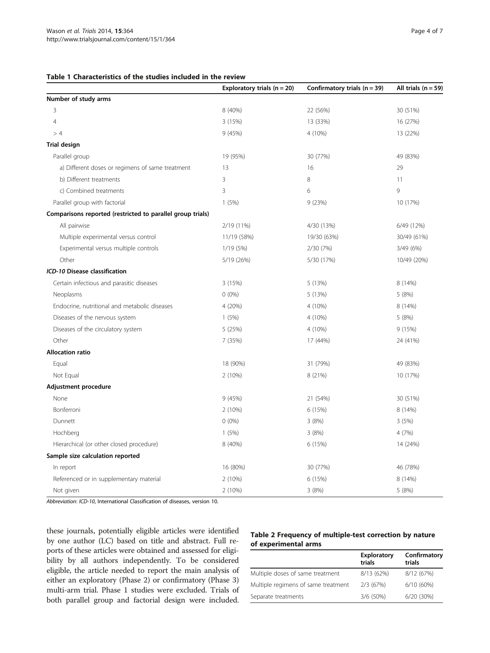### <span id="page-3-0"></span>Table 1 Characteristics of the studies included in the review

|                                                            | Exploratory trials $(n = 20)$ | Confirmatory trials $(n = 39)$ | All trials $(n = 59)$ |
|------------------------------------------------------------|-------------------------------|--------------------------------|-----------------------|
| Number of study arms                                       |                               |                                |                       |
| 3                                                          | 8 (40%)                       | 22 (56%)                       | 30 (51%)              |
| $\overline{4}$                                             | 3(15%)                        | 13 (33%)                       | 16 (27%)              |
| >4                                                         | 9(45%)                        | 4 (10%)                        | 13 (22%)              |
| <b>Trial design</b>                                        |                               |                                |                       |
| Parallel group                                             | 19 (95%)                      | 30 (77%)                       | 49 (83%)              |
| a) Different doses or regimens of same treatment           | 13                            | 16                             | 29                    |
| b) Different treatments                                    | 3                             | 8                              | 11                    |
| c) Combined treatments                                     | 3                             | 6                              | 9                     |
| Parallel group with factorial                              | 1(5%)                         | 9(23%)                         | 10 (17%)              |
| Comparisons reported (restricted to parallel group trials) |                               |                                |                       |
| All pairwise                                               | 2/19 (11%)                    | 4/30 (13%)                     | 6/49 (12%)            |
| Multiple experimental versus control                       | 11/19 (58%)                   | 19/30 (63%)                    | 30/49 (61%)           |
| Experimental versus multiple controls                      | 1/19 (5%)                     | 2/30 (7%)                      | 3/49 (6%)             |
| Other                                                      | 5/19 (26%)                    | 5/30 (17%)                     | 10/49 (20%)           |
| ICD-10 Disease classification                              |                               |                                |                       |
| Certain infectious and parasitic diseases                  | 3(15%)                        | 5 (13%)                        | 8 (14%)               |
| Neoplasms                                                  | $0(0\%)$                      | 5 (13%)                        | 5(8%)                 |
| Endocrine, nutritional and metabolic diseases              | 4 (20%)                       | 4 (10%)                        | 8 (14%)               |
| Diseases of the nervous system                             | 1(5%)                         | 4 (10%)                        | 5(8%)                 |
| Diseases of the circulatory system                         | 5 (25%)                       | 4 (10%)                        | 9(15%)                |
| Other                                                      | 7 (35%)                       | 17 (44%)                       | 24 (41%)              |
| <b>Allocation ratio</b>                                    |                               |                                |                       |
| Equal                                                      | 18 (90%)                      | 31 (79%)                       | 49 (83%)              |
| Not Equal                                                  | 2(10%)                        | 8 (21%)                        | 10 (17%)              |
| Adjustment procedure                                       |                               |                                |                       |
| None                                                       | 9(45%)                        | 21 (54%)                       | 30 (51%)              |
| Bonferroni                                                 | 2(10%)                        | 6 (15%)                        | 8 (14%)               |
| Dunnett                                                    | $0(0\%)$                      | 3(8%)                          | 3(5%)                 |
| Hochberg                                                   | 1(5%)                         | 3(8%)                          | 4(7%)                 |
| Hierarchical (or other closed procedure)                   | 8 (40%)                       | 6 (15%)                        | 14 (24%)              |
| Sample size calculation reported                           |                               |                                |                       |
| In report                                                  | 16 (80%)                      | 30 (77%)                       | 46 (78%)              |
| Referenced or in supplementary material                    | 2(10%)                        | 6 (15%)                        | 8 (14%)               |
| Not given                                                  | 2 (10%)                       | 3(8%)                          | 5 (8%)                |

Abbreviation: ICD-10, International Classification of diseases, version 10.

these journals, potentially eligible articles were identified by one author (LC) based on title and abstract. Full reports of these articles were obtained and assessed for eligibility by all authors independently. To be considered eligible, the article needed to report the main analysis of either an exploratory (Phase 2) or confirmatory (Phase 3) multi-arm trial. Phase 1 studies were excluded. Trials of both parallel group and factorial design were included.

# Table 2 Frequency of multiple-test correction by nature of experimental arms

|                                     | <b>Exploratory</b><br>trials | Confirmatory<br>trials |
|-------------------------------------|------------------------------|------------------------|
| Multiple doses of same treatment    | 8/13 (62%)                   | 8/12 (67%)             |
| Multiple regimens of same treatment | 2/3(67%)                     | 6/10(60%)              |
| Separate treatments                 | 3/6 (50%)                    | 6/20 (30%)             |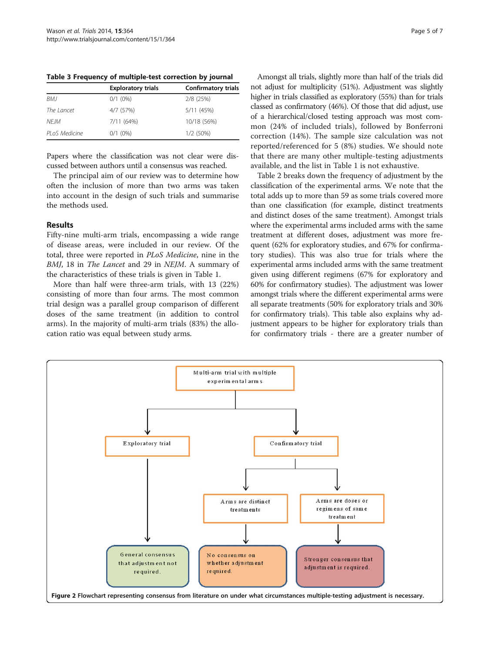|               | <b>Exploratory trials</b> | <b>Confirmatory trials</b> |
|---------------|---------------------------|----------------------------|
| <b>BMJ</b>    | $0/1$ (0%)                | 2/8 (25%)                  |
| The Lancet    | 4/7(57%)                  | 5/11 (45%)                 |
| NF IM         | 7/11 (64%)                | 10/18 (56%)                |
| PLoS Medicine | $0/1$ (0%)                | 1/2(50%)                   |

<span id="page-4-0"></span>Table 3 Frequency of multiple-test correction by journal

Papers where the classification was not clear were discussed between authors until a consensus was reached.

The principal aim of our review was to determine how often the inclusion of more than two arms was taken into account in the design of such trials and summarise the methods used.

# Results

Fifty-nine multi-arm trials, encompassing a wide range of disease areas, were included in our review. Of the total, three were reported in PLoS Medicine, nine in the BMJ, 18 in The Lancet and 29 in NEJM. A summary of the characteristics of these trials is given in Table [1](#page-3-0).

More than half were three-arm trials, with 13 (22%) consisting of more than four arms. The most common trial design was a parallel group comparison of different doses of the same treatment (in addition to control arms). In the majority of multi-arm trials (83%) the allocation ratio was equal between study arms.

Amongst all trials, slightly more than half of the trials did not adjust for multiplicity (51%). Adjustment was slightly higher in trials classified as exploratory (55%) than for trials classed as confirmatory (46%). Of those that did adjust, use of a hierarchical/closed testing approach was most common (24% of included trials), followed by Bonferroni correction (14%). The sample size calculation was not reported/referenced for 5 (8%) studies. We should note that there are many other multiple-testing adjustments available, and the list in Table [1](#page-3-0) is not exhaustive.

Table [2](#page-3-0) breaks down the frequency of adjustment by the classification of the experimental arms. We note that the total adds up to more than 59 as some trials covered more than one classification (for example, distinct treatments and distinct doses of the same treatment). Amongst trials where the experimental arms included arms with the same treatment at different doses, adjustment was more frequent (62% for exploratory studies, and 67% for confirmatory studies). This was also true for trials where the experimental arms included arms with the same treatment given using different regimens (67% for exploratory and 60% for confirmatory studies). The adjustment was lower amongst trials where the different experimental arms were all separate treatments (50% for exploratory trials and 30% for confirmatory trials). This table also explains why adjustment appears to be higher for exploratory trials than for confirmatory trials - there are a greater number of

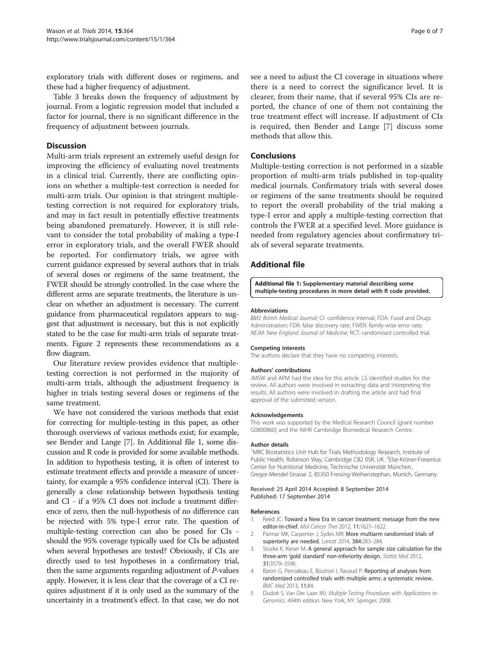<span id="page-5-0"></span>exploratory trials with different doses or regimens, and these had a higher frequency of adjustment.

Table [3](#page-4-0) breaks down the frequency of adjustment by journal. From a logistic regression model that included a factor for journal, there is no significant difference in the frequency of adjustment between journals.

## **Discussion**

Multi-arm trials represent an extremely useful design for improving the efficiency of evaluating novel treatments in a clinical trial. Currently, there are conflicting opinions on whether a multiple-test correction is needed for multi-arm trials. Our opinion is that stringent multipletesting correction is not required for exploratory trials, and may in fact result in potentially effective treatments being abandoned prematurely. However, it is still relevant to consider the total probability of making a type-I error in exploratory trials, and the overall FWER should be reported. For confirmatory trials, we agree with current guidance expressed by several authors that in trials of several doses or regimens of the same treatment, the FWER should be strongly controlled. In the case where the different arms are separate treatments, the literature is unclear on whether an adjustment is necessary. The current guidance from pharmaceutical regulators appears to suggest that adjustment is necessary, but this is not explicitly stated to be the case for multi-arm trials of separate treatments. Figure [2](#page-4-0) represents these recommendations as a flow diagram.

Our literature review provides evidence that multipletesting correction is not performed in the majority of multi-arm trials, although the adjustment frequency is higher in trials testing several doses or regimens of the same treatment.

We have not considered the various methods that exist for correcting for multiple-testing in this paper, as other thorough overviews of various methods exist; for example, see Bender and Lange [[7](#page-6-0)]. In Additional file 1, some discussion and R code is provided for some available methods. In addition to hypothesis testing, it is often of interest to estimate treatment effects and provide a measure of uncertainty, for example a 95% confidence interval (CI). There is generally a close relationship between hypothesis testing and CI - if a 95% CI does not include a treatment difference of zero, then the null-hypothesis of no difference can be rejected with 5% type-I error rate. The question of multiple-testing correction can also be posed for CIs should the 95% coverage typically used for CIs be adjusted when several hypotheses are tested? Obviously, if CIs are directly used to test hypotheses in a confirmatory trial, then the same arguments regarding adjustment of P-values apply. However, it is less clear that the coverage of a CI requires adjustment if it is only used as the summary of the uncertainty in a treatment's effect. In that case, we do not

see a need to adjust the CI coverage in situations where there is a need to correct the significance level. It is clearer, from their name, that if several 95% CIs are reported, the chance of one of them not containing the true treatment effect will increase. If adjustment of CIs is required, then Bender and Lange [\[7](#page-6-0)] discuss some methods that allow this.

#### Conclusions

Multiple-testing correction is not performed in a sizable proportion of multi-arm trials published in top-quality medical journals. Confirmatory trials with several doses or regimens of the same treatments should be required to report the overall probability of the trial making a type-I error and apply a multiple-testing correction that controls the FWER at a specified level. More guidance is needed from regulatory agencies about confirmatory trials of several separate treatments.

# Additional file

[Additional file 1:](http://www.biomedcentral.com/content/supplementary/1745-6215-15-364-S1.doc) Supplementary material describing some multiple-testing procedures in more detail with R code provided.

#### Abbreviations

BMJ: British Medical Journal; CI: confidence interval; FDA: Food and Drugs Administration; FDR: false discovery rate; FWER: family-wise error rate; NEJM: New England Journal of Medicine; RCT: randomised controlled trial.

#### Competing interests

The authors declare that they have no competing interests.

#### Authors' contributions

JMSW and APM had the idea for this article. LS identified studies for the review. All authors were involved in extracting data and interpreting the results. All authors were involved in drafting the article and had final approval of the submitted version.

#### Acknowledgements

This work was supported by the Medical Research Council (grant number G0800860) and the NIHR Cambridge Biomedical Research Centre.

#### Author details

<sup>1</sup>MRC Biostatistics Unit Hub for Trials Methodology Research, Institute of Public Health, Robinson Way, Cambridge CB2 0SR, UK. <sup>2</sup>Else-Kröner-Fresenius Center for Nutritional Medicine, Technische Universität München, Gregor-Mendel-Strasse 2, 85350 Freising-Weihenstephan, Munich, Germany.

#### Received: 25 April 2014 Accepted: 8 September 2014 Published: 17 September 2014

#### References

- 1. Reed JC: Toward a New Era in cancer treatment: message from the new editor-in-chief. Mol Cancer Ther 2012, 11:1621–1622.
- 2. Parmar MK, Carpenter J, Sydes MR: More multiarm randomised trials of superiority are needed. Lancet 2014, 384:283-284.
- 3. Stucke K, Kieser M: A general approach for sample size calculation for the three-arm 'gold standard' non-inferiority design. Statist Med 2012, 31:3579–3596.
- 4. Baron G, Perrodeau E, Boutron I, Ravaud P: Reporting of analyses from randomized controlled trials with multiple arms: a systematic review. BMC Med 2013, 11:84.
- 5. Dudoit S, Van Der Laan MJ: Multiple Testing Procedures with Applications to Genomics. 494th edition. New York, NY: Springer; 2008.